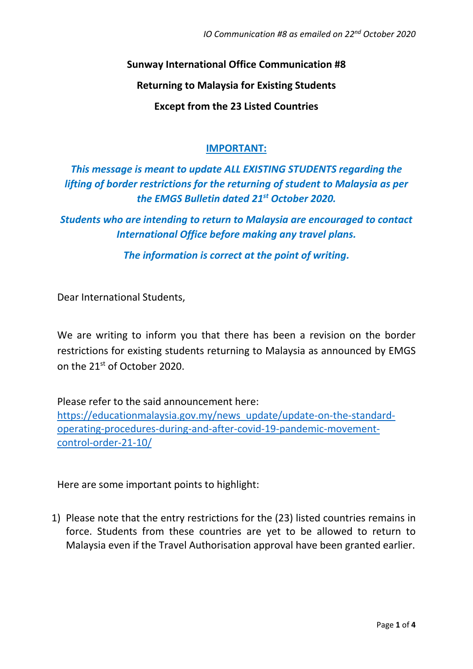**Sunway International Office Communication #8**

**Returning to Malaysia for Existing Students** 

**Except from the 23 Listed Countries**

# **IMPORTANT:**

*This message is meant to update ALL EXISTING STUDENTS regarding the lifting of border restrictions for the returning of student to Malaysia as per the EMGS Bulletin dated 21st October 2020.*

*Students who are intending to return to Malaysia are encouraged to contact International Office before making any travel plans.*

*The information is correct at the point of writing.*

Dear International Students,

We are writing to inform you that there has been a revision on the border restrictions for existing students returning to Malaysia as announced by EMGS on the 21st of October 2020.

Please refer to the said announcement here:

[https://educationmalaysia.gov.my/news\\_update/update-on-the-standard](https://educationmalaysia.gov.my/news_update/update-on-the-standard-operating-procedures-during-and-after-covid-19-pandemic-movement-control-order-21-10/)[operating-procedures-during-and-after-covid-19-pandemic-movement](https://educationmalaysia.gov.my/news_update/update-on-the-standard-operating-procedures-during-and-after-covid-19-pandemic-movement-control-order-21-10/)[control-order-21-10/](https://educationmalaysia.gov.my/news_update/update-on-the-standard-operating-procedures-during-and-after-covid-19-pandemic-movement-control-order-21-10/)

Here are some important points to highlight:

1) Please note that the entry restrictions for the (23) listed countries remains in force. Students from these countries are yet to be allowed to return to Malaysia even if the Travel Authorisation approval have been granted earlier.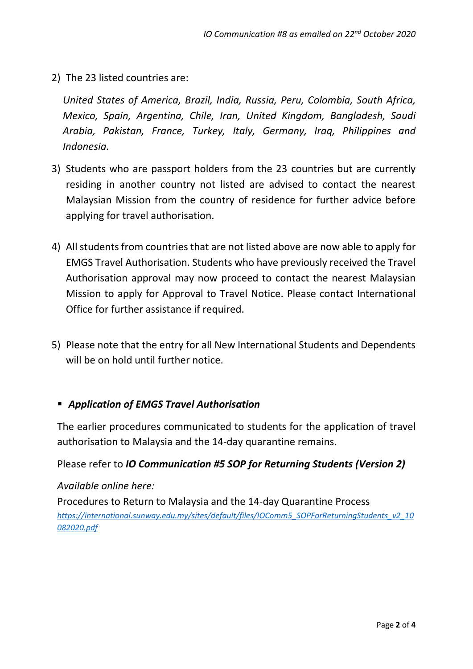2) The 23 listed countries are:

*United States of America, Brazil, India, Russia, Peru, Colombia, South Africa, Mexico, Spain, Argentina, Chile, Iran, United Kingdom, Bangladesh, Saudi Arabia, Pakistan, France, Turkey, Italy, Germany, Iraq, Philippines and Indonesia.*

- 3) Students who are passport holders from the 23 countries but are currently residing in another country not listed are advised to contact the nearest Malaysian Mission from the country of residence for further advice before applying for travel authorisation.
- 4) All students from countries that are not listed above are now able to apply for EMGS Travel Authorisation. Students who have previously received the Travel Authorisation approval may now proceed to contact the nearest Malaysian Mission to apply for Approval to Travel Notice. Please contact International Office for further assistance if required.
- 5) Please note that the entry for all New International Students and Dependents will be on hold until further notice.

# ▪ *Application of EMGS Travel Authorisation*

The earlier procedures communicated to students for the application of travel authorisation to Malaysia and the 14-day quarantine remains.

## Please refer to *IO Communication #5 SOP for Returning Students (Version 2)*

## *Available online here:*

Procedures to Return to Malaysia and the 14-day Quarantine Process *[https://international.sunway.edu.my/sites/default/files/IOComm5\\_SOPForReturningStudents\\_v2\\_10](https://international.sunway.edu.my/sites/default/files/IOComm5_SOPForReturningStudents_v2_10082020.pdf) [082020.pdf](https://international.sunway.edu.my/sites/default/files/IOComm5_SOPForReturningStudents_v2_10082020.pdf)*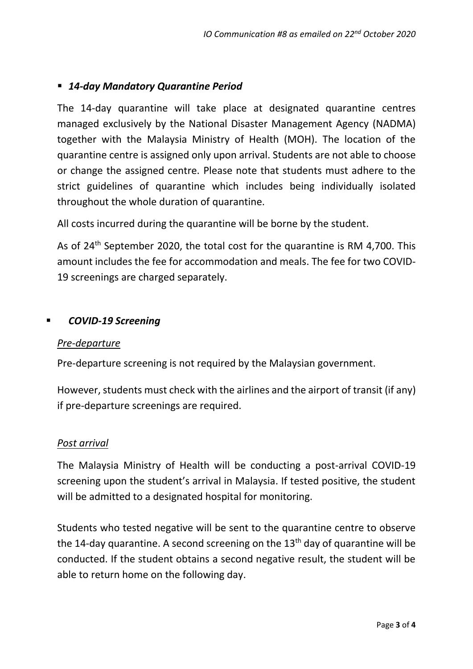# ▪ *14-day Mandatory Quarantine Period*

The 14-day quarantine will take place at designated quarantine centres managed exclusively by the National Disaster Management Agency (NADMA) together with the Malaysia Ministry of Health (MOH). The location of the quarantine centre is assigned only upon arrival. Students are not able to choose or change the assigned centre. Please note that students must adhere to the strict guidelines of quarantine which includes being individually isolated throughout the whole duration of quarantine.

All costs incurred during the quarantine will be borne by the student.

As of  $24<sup>th</sup>$  September 2020, the total cost for the quarantine is RM 4,700. This amount includes the fee for accommodation and meals. The fee for two COVID-19 screenings are charged separately.

## ▪ *COVID-19 Screening*

## *Pre-departure*

Pre-departure screening is not required by the Malaysian government.

However, students must check with the airlines and the airport of transit (if any) if pre-departure screenings are required.

#### *Post arrival*

The Malaysia Ministry of Health will be conducting a post-arrival COVID-19 screening upon the student's arrival in Malaysia. If tested positive, the student will be admitted to a designated hospital for monitoring.

Students who tested negative will be sent to the quarantine centre to observe the 14-day quarantine. A second screening on the  $13<sup>th</sup>$  day of quarantine will be conducted. If the student obtains a second negative result, the student will be able to return home on the following day.